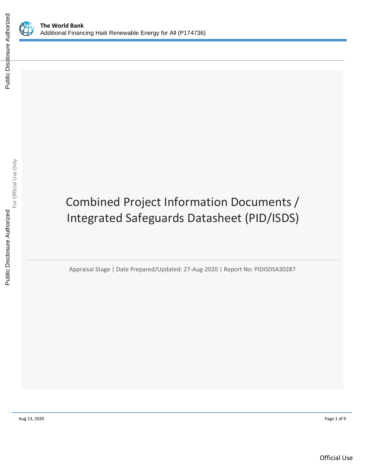



# Combined Project Information Documents / Integrated Safeguards Datasheet (PID/ISDS)

Appraisal Stage | Date Prepared/Updated: 27-Aug-2020 | Report No: PIDISDSA30287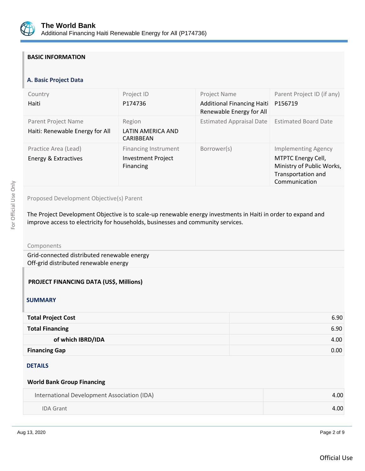

## **BASIC INFORMATION**

## **A. Basic Project Data**

| Country<br>Haiti                                       | Project ID<br>P174736                                                 | Project Name<br><b>Additional Financing Haiti</b><br>Renewable Energy for All | Parent Project ID (if any)<br>P156719                                                                                |
|--------------------------------------------------------|-----------------------------------------------------------------------|-------------------------------------------------------------------------------|----------------------------------------------------------------------------------------------------------------------|
| Parent Project Name<br>Haiti: Renewable Energy for All | Region<br>LATIN AMERICA AND<br><b>CARIBBEAN</b>                       | <b>Estimated Appraisal Date</b>                                               | <b>Estimated Board Date</b>                                                                                          |
| Practice Area (Lead)<br>Energy & Extractives           | <b>Financing Instrument</b><br><b>Investment Project</b><br>Financing | Borrower(s)                                                                   | <b>Implementing Agency</b><br>MTPTC Energy Cell,<br>Ministry of Public Works,<br>Transportation and<br>Communication |

## Proposed Development Objective(s) Parent

The Project Development Objective is to scale-up renewable energy investments in Haiti in order to expand and improve access to electricity for households, businesses and community services.

Components

Grid-connected distributed renewable energy Off-grid distributed renewable energy

#### **PROJECT FINANCING DATA (US\$, Millions)**

#### **SUMMARY**

| <b>Total Project Cost</b> | 6.90 |
|---------------------------|------|
| <b>Total Financing</b>    | 6.90 |
| of which IBRD/IDA         | 4.00 |
| <b>Financing Gap</b>      | 0.00 |

#### **DETAILS**

#### **World Bank Group Financing**

| International Development Association (IDA) | 4.00 |
|---------------------------------------------|------|
| IDA Grant                                   | 4.00 |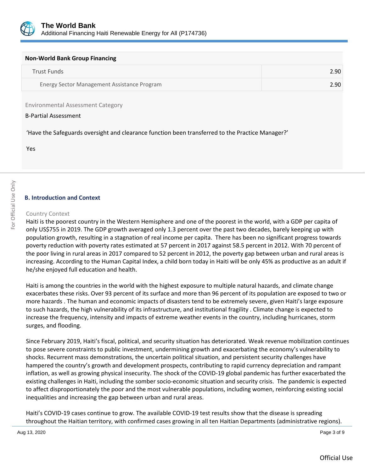

| <b>Non-World Bank Group Financing</b>       |      |  |
|---------------------------------------------|------|--|
| Trust Funds                                 | 2.90 |  |
| Energy Sector Management Assistance Program | 2.90 |  |

Environmental Assessment Category

#### B-Partial Assessment

'Have the Safeguards oversight and clearance function been transferred to the Practice Manager?'

Yes

## **B. Introduction and Context**

#### Country Context

Haiti is the poorest country in the Western Hemisphere and one of the poorest in the world, with a GDP per capita of only US\$755 in 2019. The GDP growth averaged only 1.3 percent over the past two decades, barely keeping up with population growth, resulting in a stagnation of real income per capita. There has been no significant progress towards poverty reduction with poverty rates estimated at 57 percent in 2017 against 58.5 percent in 2012. With 70 percent of the poor living in rural areas in 2017 compared to 52 percent in 2012, the poverty gap between urban and rural areas is increasing. According to the Human Capital Index, a child born today in Haiti will be only 45% as productive as an adult if he/she enjoyed full education and health.

Haiti is among the countries in the world with the highest exposure to multiple natural hazards, and climate change exacerbates these risks. Over 93 percent of its surface and more than 96 percent of its population are exposed to two or more hazards . The human and economic impacts of disasters tend to be extremely severe, given Haiti's large exposure to such hazards, the high vulnerability of its infrastructure, and institutional fragility . Climate change is expected to increase the frequency, intensity and impacts of extreme weather events in the country, including hurricanes, storm surges, and flooding.

Since February 2019, Haiti's fiscal, political, and security situation has deteriorated. Weak revenue mobilization continues to pose severe constraints to public investment, undermining growth and exacerbating the economy's vulnerability to shocks. Recurrent mass demonstrations, the uncertain political situation, and persistent security challenges have hampered the country's growth and development prospects, contributing to rapid currency depreciation and rampant inflation, as well as growing physical insecurity. The shock of the COVID-19 global pandemic has further exacerbated the existing challenges in Haiti, including the somber socio-economic situation and security crisis. The pandemic is expected to affect disproportionately the poor and the most vulnerable populations, including women, reinforcing existing social inequalities and increasing the gap between urban and rural areas.

Haiti's COVID-19 cases continue to grow. The available COVID-19 test results show that the disease is spreading throughout the Haitian territory, with confirmed cases growing in all ten Haitian Departments (administrative regions).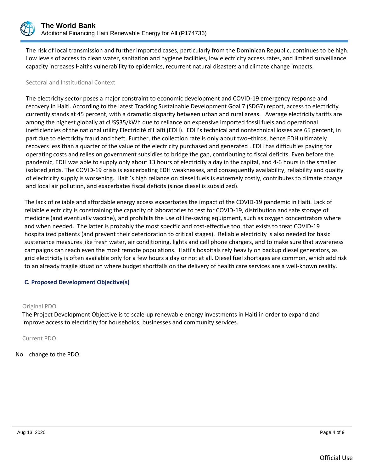

The risk of local transmission and further imported cases, particularly from the Dominican Republic, continues to be high. Low levels of access to clean water, sanitation and hygiene facilities, low electricity access rates, and limited surveillance capacity increases Haiti's vulnerability to epidemics, recurrent natural disasters and climate change impacts.

#### Sectoral and Institutional Context

The electricity sector poses a major constraint to economic development and COVID-19 emergency response and recovery in Haiti. According to the latest Tracking Sustainable Development Goal 7 (SDG7) report, access to electricity currently stands at 45 percent, with a dramatic disparity between urban and rural areas. Average electricity tariffs are among the highest globally at cUS\$35/kWh due to reliance on expensive imported fossil fuels and operational inefficiencies of the national utility Electricité d'Haïti (EDH). EDH's technical and nontechnical losses are 65 percent, in part due to electricity fraud and theft. Further, the collection rate is only about two–thirds, hence EDH ultimately recovers less than a quarter of the value of the electricity purchased and generated . EDH has difficulties paying for operating costs and relies on government subsidies to bridge the gap, contributing to fiscal deficits. Even before the pandemic, EDH was able to supply only about 13 hours of electricity a day in the capital, and 4-6 hours in the smaller isolated grids. The COVID-19 crisis is exacerbating EDH weaknesses, and consequently availability, reliability and quality of electricity supply is worsening. Haiti's high reliance on diesel fuels is extremely costly, contributes to climate change and local air pollution, and exacerbates fiscal deficits (since diesel is subsidized).

The lack of reliable and affordable energy access exacerbates the impact of the COVID-19 pandemic in Haiti. Lack of reliable electricity is constraining the capacity of laboratories to test for COVID-19, distribution and safe storage of medicine (and eventually vaccine), and prohibits the use of life-saving equipment, such as oxygen concentrators where and when needed. The latter is probably the most specific and cost-effective tool that exists to treat COVID-19 hospitalized patients (and prevent their deterioration to critical stages). Reliable electricity is also needed for basic sustenance measures like fresh water, air conditioning, lights and cell phone chargers, and to make sure that awareness campaigns can reach even the most remote populations. Haiti's hospitals rely heavily on backup diesel generators, as grid electricity is often available only for a few hours a day or not at all. Diesel fuel shortages are common, which add risk to an already fragile situation where budget shortfalls on the delivery of health care services are a well-known reality.

## **C. Proposed Development Objective(s)**

#### Original PDO

The Project Development Objective is to scale-up renewable energy investments in Haiti in order to expand and improve access to electricity for households, businesses and community services.

Current PDO

No change to the PDO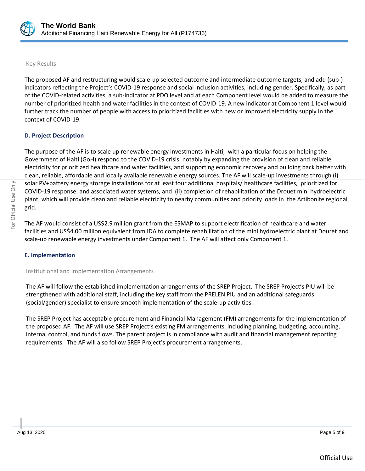

#### Key Results

The proposed AF and restructuring would scale-up selected outcome and intermediate outcome targets, and add (sub-) indicators reflecting the Project's COVID-19 response and social inclusion activities, including gender. Specifically, as part of the COVID-related activities, a sub-indicator at PDO level and at each Component level would be added to measure the number of prioritized health and water facilities in the context of COVID-19. A new indicator at Component 1 level would further track the number of people with access to prioritized facilities with new or improved electricity supply in the context of COVID-19.

## **D. Project Description**

The purpose of the AF is to scale up renewable energy investments in Haiti, with a particular focus on helping the Government of Haiti (GoH) respond to the COVID-19 crisis, notably by expanding the provision of clean and reliable electricity for prioritized healthcare and water facilities, and supporting economic recovery and building back better with clean, reliable, affordable and locally available renewable energy sources. The AF will scale-up investments through (i) solar PV+battery energy storage installations for at least four additional hospitals/ healthcare facilities, prioritized for COVID-19 response; and associated water systems, and (ii) completion of rehabilitation of the Drouet mini hydroelectric plant, which will provide clean and reliable electricity to nearby communities and priority loads in the Artibonite regional grid.

The AF would consist of a US\$2.9 million grant from the ESMAP to support electrification of healthcare and water facilities and US\$4.00 million equivalent from IDA to complete rehabilitation of the mini hydroelectric plant at Douret and scale-up renewable energy investments under Component 1. The AF will affect only Component 1.

#### **E. Implementation**

Institutional and Implementation Arrangements

The AF will follow the established implementation arrangements of the SREP Project. The SREP Project's PIU will be strengthened with additional staff, including the key staff from the PRELEN PIU and an additional safeguards (social/gender) specialist to ensure smooth implementation of the scale-up activities.

The SREP Project has acceptable procurement and Financial Management (FM) arrangements for the implementation of the proposed AF. The AF will use SREP Project's existing FM arrangements, including planning, budgeting, accounting, internal control, and funds flows. The parent project is in compliance with audit and financial management reporting requirements. The AF will also follow SREP Project's procurement arrangements.

.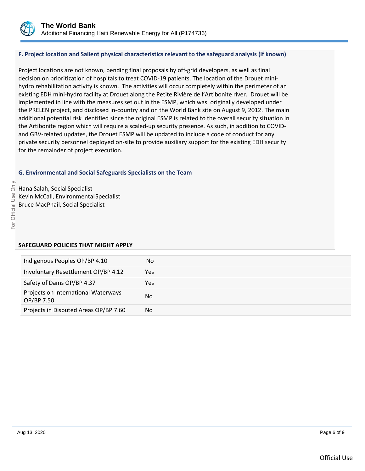

## **F. Project location and Salient physical characteristics relevant to the safeguard analysis (if known)**

Project locations are not known, pending final proposals by off-grid developers, as well as final decision on prioritization of hospitals to treat COVID-19 patients. The location of the Drouet minihydro rehabilitation activity is known. The activities will occur completely within the perimeter of an existing EDH mini-hydro facility at Drouet along the Petite Rivière de l'Artibonite river. Drouet will be implemented in line with the measures set out in the ESMP, which was originally developed under the PRELEN project, and disclosed in-country and on the World Bank site on August 9, 2012. The main additional potential risk identified since the original ESMP is related to the overall security situation in the Artibonite region which will require a scaled-up security presence. As such, in addition to COVIDand GBV-related updates, the Drouet ESMP will be updated to include a code of conduct for any private security personnel deployed on-site to provide auxiliary support for the existing EDH security for the remainder of project execution.

## **G. Environmental and Social Safeguards Specialists on the Team**

Hana Salah, Social Specialist Kevin McCall, EnvironmentalSpecialist Bruce MacPhail, Social Specialist

#### **SAFEGUARD POLICIES THAT MIGHT APPLY**

| Indigenous Peoples OP/BP 4.10                     | No  |
|---------------------------------------------------|-----|
| Involuntary Resettlement OP/BP 4.12               | Yes |
| Safety of Dams OP/BP 4.37                         | Yes |
| Projects on International Waterways<br>OP/BP 7.50 | No  |
| Projects in Disputed Areas OP/BP 7.60             | No  |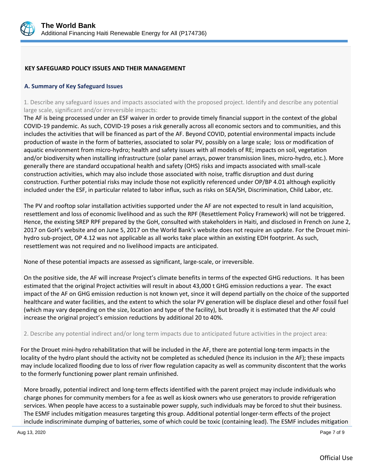

#### **KEY SAFEGUARD POLICY ISSUES AND THEIR MANAGEMENT**

#### **A. Summary of Key Safeguard Issues**

1. Describe any safeguard issues and impacts associated with the proposed project. Identify and describe any potential large scale, significant and/or irreversible impacts:

The AF is being processed under an ESF waiver in order to provide timely financial support in the context of the global COVID-19 pandemic. As such, COVID-19 poses a risk generally across all economic sectors and to communities, and this includes the activities that will be financed as part of the AF. Beyond COVID, potential environmental impacts include production of waste in the form of batteries, associated to solar PV, possibly on a large scale; loss or modification of aquatic environment from micro-hydro; health and safety issues with all models of RE; impacts on soil, vegetation and/or biodiversity when installing infrastructure (solar panel arrays, power transmission lines, micro-hydro, etc.). More generally there are standard occupational health and safety (OHS) risks and impacts associated with small-scale construction activities, which may also include those associated with noise, traffic disruption and dust during construction. Further potential risks may include those not explicitly referenced under OP/BP 4.01 although explicitly included under the ESF, in particular related to labor influx, such as risks on SEA/SH, Discrimination, Child Labor, etc.

The PV and rooftop solar installation activities supported under the AF are not expected to result in land acquisition, resettlement and loss of economic livelihood and as such the RPF (Resettlement Policy Framework) will not be triggered. Hence, the existing SREP RPF prepared by the GoH, consulted with stakeholders in Haiti, and disclosed in French on June 2, 2017 on GoH's website and on June 5, 2017 on the World Bank's website does not require an update. For the Drouet minihydro sub-project, OP 4.12 was not applicable as all works take place within an existing EDH footprint. As such, resettlement was not required and no livelihood impacts are anticipated.

None of these potential impacts are assessed as significant, large-scale, or irreversible.

On the positive side, the AF will increase Project's climate benefits in terms of the expected GHG reductions. It has been estimated that the original Project activities will result in about 43,000 t GHG emission reductions a year. The exact impact of the AF on GHG emission reduction is not known yet, since it will depend partially on the choice of the supported healthcare and water facilities, and the extent to which the solar PV generation will be displace diesel and other fossil fuel (which may vary depending on the size, location and type of the facility), but broadly it is estimated that the AF could increase the original project's emission reductions by additional 20 to 40%.

#### 2. Describe any potential indirect and/or long term impacts due to anticipated future activities in the project area:

For the Drouet mini-hydro rehabilitation that will be included in the AF, there are potential long-term impacts in the locality of the hydro plant should the activity not be completed as scheduled (hence its inclusion in the AF); these impacts may include localized flooding due to loss of river flow regulation capacity as well as community discontent that the works to the formerly functioning power plant remain unfinished.

More broadly, potential indirect and long-term effects identified with the parent project may include individuals who charge phones for community members for a fee as well as kiosk owners who use generators to provide refrigeration services. When people have access to a sustainable power supply, such individuals may be forced to shut their business. The ESMF includes mitigation measures targeting this group. Additional potential longer-term effects of the project include indiscriminate dumping of batteries, some of which could be toxic (containing lead). The ESMF includes mitigation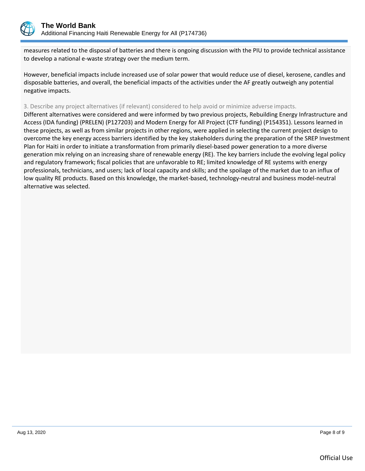

measures related to the disposal of batteries and there is ongoing discussion with the PIU to provide technical assistance to develop a national e-waste strategy over the medium term.

However, beneficial impacts include increased use of solar power that would reduce use of diesel, kerosene, candles and disposable batteries, and overall, the beneficial impacts of the activities under the AF greatly outweigh any potential negative impacts.

#### 3. Describe any project alternatives (if relevant) considered to help avoid or minimize adverse impacts.

Different alternatives were considered and were informed by two previous projects, Rebuilding Energy Infrastructure and Access (IDA funding) (PRELEN) (P127203) and Modern Energy for All Project (CTF funding) (P154351). Lessons learned in these projects, as well as from similar projects in other regions, were applied in selecting the current project design to overcome the key energy access barriers identified by the key stakeholders during the preparation of the SREP Investment Plan for Haiti in order to initiate a transformation from primarily diesel-based power generation to a more diverse generation mix relying on an increasing share of renewable energy (RE). The key barriers include the evolving legal policy and regulatory framework; fiscal policies that are unfavorable to RE; limited knowledge of RE systems with energy professionals, technicians, and users; lack of local capacity and skills; and the spoilage of the market due to an influx of low quality RE products. Based on this knowledge, the market-based, technology-neutral and business model-neutral alternative was selected.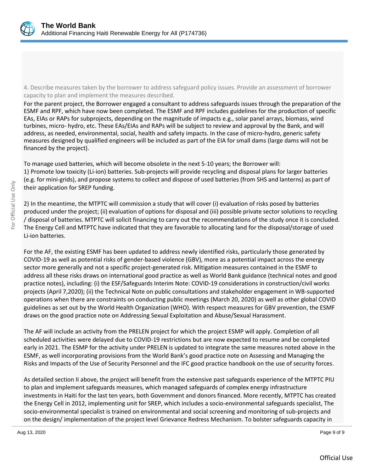

4. Describe measures taken by the borrower to address safeguard policy issues. Provide an assessment of borrower capacity to plan and implement the measures described.

For the parent project, the Borrower engaged a consultant to address safeguards issues through the preparation of the ESMF and RPF, which have now been completed. The ESMF and RPF includes guidelines for the production of specific EAs, EIAs or RAPs for subprojects, depending on the magnitude of impacts e.g., solar panel arrays, biomass, wind turbines, micro- hydro, etc. These EAs/EIAs and RAPs will be subject to review and approval by the Bank, and will address, as needed, environmental, social, health and safety impacts. In the case of micro-hydro, generic safety measures designed by qualified engineers will be included as part of the EIA for small dams (large dams will not be financed by the project).

To manage used batteries, which will become obsolete in the next 5-10 years; the Borrower will: 1) Promote low toxicity (Li-ion) batteries. Sub-projects will provide recycling and disposal plans for larger batteries (e.g. for mini-grids), and propose systems to collect and dispose of used batteries (from SHS and lanterns) as part of their application for SREP funding.

2) In the meantime, the MTPTC will commission a study that will cover (i) evaluation of risks posed by batteries produced under the project; (ii) evaluation of options for disposal and (iii) possible private sector solutions to recycling / disposal of batteries. MTPTC will solicit financing to carry out the recommendations of the study once it is concluded. The Energy Cell and MTPTC have indicated that they are favorable to allocating land for the disposal/storage of used Li-ion batteries.

For the AF, the existing ESMF has been updated to address newly identified risks, particularly those generated by COVID-19 as well as potential risks of gender-based violence (GBV), more as a potential impact across the energy sector more generally and not a specific project-generated risk. Mitigation measures contained in the ESMF to address all these risks draws on international good practice as well as World Bank guidance (technical notes and good practice notes), including: (i) the ESF/Safeguards Interim Note: COVID-19 considerations in construction/civil works projects (April 7,2020); (ii) the Technical Note on public consultations and stakeholder engagement in WB-supported operations when there are constraints on conducting public meetings (March 20, 2020) as well as other global COVID guidelines as set out by the World Health Organization (WHO). With respect measures for GBV prevention, the ESMF draws on the good practice note on Addressing Sexual Exploitation and Abuse/Sexual Harassment.

The AF will include an activity from the PRELEN project for which the project ESMP will apply. Completion of all scheduled activities were delayed due to COVID-19 restrictions but are now expected to resume and be completed early in 2021. The ESMP for the activity under PRELEN is updated to integrate the same measures noted above in the ESMF, as well incorporating provisions from the World Bank's good practice note on Assessing and Managing the Risks and Impacts of the Use of Security Personnel and the IFC good practice handbook on the use of security forces.

As detailed section II above, the project will benefit from the extensive past safeguards experience of the MTPTC PIU to plan and implement safeguards measures, which managed safeguards of complex energy infrastructure investments in Haiti for the last ten years, both Government and donors financed. More recently, MTPTC has created the Energy Cell in 2012, implementing unit for SREP, which includes a socio-environmental safeguards specialist, The socio-environmental specialist is trained on environmental and social screening and monitoring of sub-projects and on the design/ implementation of the project level Grievance Redress Mechanism. To bolster safeguards capacity in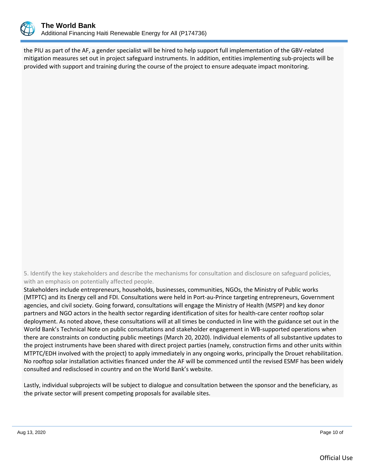

the PIU as part of the AF, a gender specialist will be hired to help support full implementation of the GBV-related mitigation measures set out in project safeguard instruments. In addition, entities implementing sub-projects will be provided with support and training during the course of the project to ensure adequate impact monitoring.

5. Identify the key stakeholders and describe the mechanisms for consultation and disclosure on safeguard policies, with an emphasis on potentially affected people.

Stakeholders include entrepreneurs, households, businesses, communities, NGOs, the Ministry of Public works (MTPTC) and its Energy cell and FDI. Consultations were held in Port-au-Prince targeting entrepreneurs, Government agencies, and civil society. Going forward, consultations will engage the Ministry of Health (MSPP) and key donor partners and NGO actors in the health sector regarding identification of sites for health-care center rooftop solar deployment. As noted above, these consultations will at all times be conducted in line with the guidance set out in the World Bank's Technical Note on public consultations and stakeholder engagement in WB-supported operations when there are constraints on conducting public meetings (March 20, 2020). Individual elements of all substantive updates to the project instruments have been shared with direct project parties (namely, construction firms and other units within MTPTC/EDH involved with the project) to apply immediately in any ongoing works, principally the Drouet rehabilitation. No rooftop solar installation activities financed under the AF will be commenced until the revised ESMF has been widely consulted and redisclosed in country and on the World Bank's website.

Lastly, individual subprojects will be subject to dialogue and consultation between the sponsor and the beneficiary, as the private sector will present competing proposals for available sites.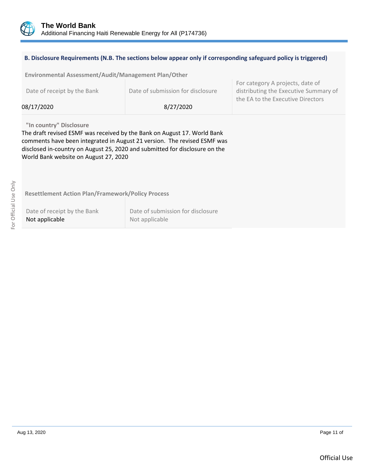

#### **B. Disclosure Requirements (N.B. The sections below appear only if corresponding safeguard policy is triggered)**

| Environmental Assessment/Audit/Management Plan/Other |                                                                          |                                                                                                                |
|------------------------------------------------------|--------------------------------------------------------------------------|----------------------------------------------------------------------------------------------------------------|
| Date of receipt by the Bank<br>08/17/2020            | Date of submission for disclosure<br>8/27/2020                           | For category A projects, date of<br>distributing the Executive Summary of<br>the EA to the Executive Directors |
|                                                      |                                                                          |                                                                                                                |
| "In country" Disclosure                              |                                                                          |                                                                                                                |
|                                                      | The draft revised ESMF was received by the Bank on August 17. World Bank |                                                                                                                |

comments have been integrated in August 21 version. The revised ESMF was disclosed in-country on August 25, 2020 and submitted for disclosure on the World Bank website on August 27, 2020

For Official Use Only For Official Use Only

**Resettlement Action Plan/Framework/Policy Process**

Date of receipt by the Bank Not applicable

Date of submission for disclosure Not applicable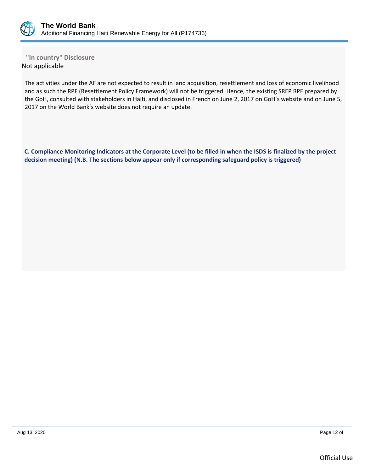

**"In country" Disclosure** Not applicable

The activities under the AF are not expected to result in land acquisition, resettlement and loss of economic livelihood and as such the RPF (Resettlement Policy Framework) will not be triggered. Hence, the existing SREP RPF prepared by the GoH, consulted with stakeholders in Haiti, and disclosed in French on June 2, 2017 on GoH's website and on June 5, 2017 on the World Bank's website does not require an update.

**C. Compliance Monitoring Indicators at the Corporate Level (to be filled in when the ISDS is finalized by the project decision meeting) (N.B. The sections below appear only if corresponding safeguard policy is triggered)**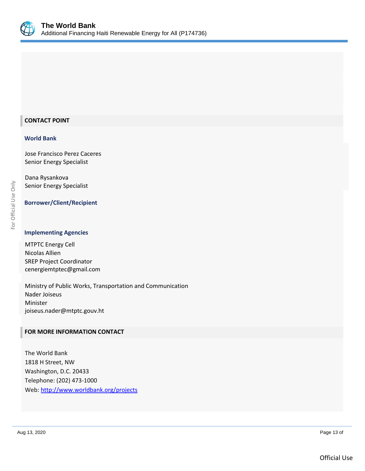

## **CONTACT POINT**

#### **World Bank**

Jose Francisco Perez Caceres Senior Energy Specialist

Dana Rysankova Senior Energy Specialist

## **Borrower/Client/Recipient**

#### **Implementing Agencies**

MTPTC Energy Cell Nicolas Allien SREP Project Coordinator [cenergiemtptec@gmail.com](mailto:cenergiemtptec@gmail.com)

Ministry of Public Works, Transportation and Communication Nader Joiseus Minister [joiseus.nader@mtptc.gouv.ht](mailto:joiseus.nader@mtptc.gouv.ht)

#### **FOR MORE INFORMATION CONTACT**

The World Bank 1818 H Street, NW Washington, D.C. 20433 Telephone: (202) 473-1000 Web:<http://www.worldbank.org/projects>